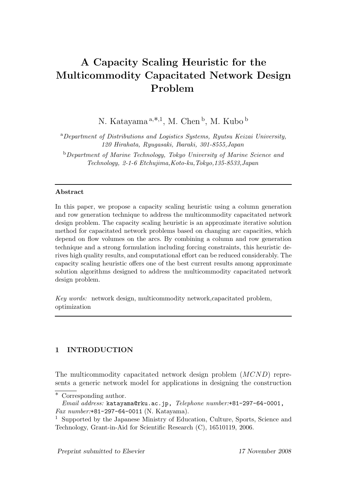# **A Capacity Scaling Heuristic for the Multicommodity Capacitated Network Design Problem**

N. Katayama <sup>a</sup>*,*∗*,*<sup>1</sup>, M. Chen <sup>b</sup>, M. Kubo <sup>b</sup>

<sup>a</sup>*Department of Distributions and Logistics Systems, Ryutsu Keizai University, 120 Hirahata, Ryugasaki, Ibaraki, 301-8555,Japan*

<sup>b</sup>*Department of Marine Technology, Tokyo University of Marine Science and Technology, 2-1-6 Etchujima,Koto-ku,Tokyo,135-8533,Japan*

### **Abstract**

In this paper, we propose a capacity scaling heuristic using a column generation and row generation technique to address the multicommodity capacitated network design problem. The capacity scaling heuristic is an approximate iterative solution method for capacitated network problems based on changing arc capacities, which depend on flow volumes on the arcs. By combining a column and row generation technique and a strong formulation including forcing constraints, this heuristic derives high quality results, and computational effort can be reduced considerably. The capacity scaling heuristic offers one of the best current results among approximate solution algorithms designed to address the multicommodity capacitated network design problem.

*Key words:* network design, multicommodity network,capacitated problem, optimization

# **1 INTRODUCTION**

The multicommodity capacitated network design problem (MCND) represents a generic network model for applications in designing the construction

*Preprint submitted to Elsevier 17 November 2008*

<sup>∗</sup> Corresponding author.

*Email address:* katayama@rku.ac.jp, *Telephone number:*+81-297-64-0001, *Fax number:*+81-297-64-0011 (N. Katayama).

<sup>1</sup> Supported by the Japanese Ministry of Education, Culture, Sports, Science and Technology, Grant-in-Aid for Scientific Research (C), 16510119, 2006.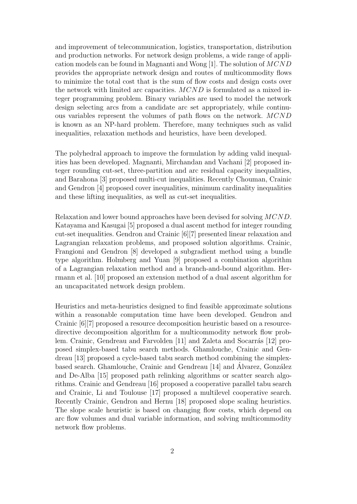and improvement of telecommunication, logistics, transportation, distribution and production networks. For network design problems, a wide range of application models can be found in Magnanti and Wong [1]. The solution of MCND provides the appropriate network design and routes of multicommodity flows to minimize the total cost that is the sum of flow costs and design costs over the network with limited arc capacities. MCND is formulated as a mixed integer programming problem. Binary variables are used to model the network design selecting arcs from a candidate arc set appropriately, while continuous variables represent the volumes of path flows on the network. MCND is known as an NP-hard problem. Therefore, many techniques such as valid inequalities, relaxation methods and heuristics, have been developed.

The polyhedral approach to improve the formulation by adding valid inequalities has been developed. Magnanti, Mirchandan and Vachani [2] proposed integer rounding cut-set, three-partition and arc residual capacity inequalities, and Barahona [3] proposed multi-cut inequalities. Recently Chouman, Crainic and Gendron [4] proposed cover inequalities, minimum cardinality inequalities and these lifting inequalities, as well as cut-set inequalities.

Relaxation and lower bound approaches have been devised for solving MCND. Katayama and Kasugai [5] proposed a dual ascent method for integer rounding cut-set inequalities. Gendron and Crainic [6][7] presented linear relaxation and Lagrangian relaxation problems, and proposed solution algorithms. Crainic, Frangioni and Gendron [8] developed a subgradient method using a bundle type algorithm. Holmberg and Yuan [9] proposed a combination algorithm of a Lagrangian relaxation method and a branch-and-bound algorithm. Herrmann et al. [10] proposed an extension method of a dual ascent algorithm for an uncapacitated network design problem.

Heuristics and meta-heuristics designed to find feasible approximate solutions within a reasonable computation time have been developed. Gendron and Crainic [6][7] proposed a resource decomposition heuristic based on a resourcedirective decomposition algorithm for a multicommodity network flow problem. Crainic, Gendreau and Farvolden [11] and Zaleta and Socarrás [12] proposed simplex-based tabu search methods. Ghamlouche, Crainic and Gendreau [13] proposed a cycle-based tabu search method combining the simplexbased search. Ghamlouche, Crainic and Gendreau [14] and Alvarez, González and De-Alba [15] proposed path relinking algorithms or scatter search algorithms. Crainic and Gendreau [16] proposed a cooperative parallel tabu search and Crainic, Li and Toulouse [17] proposed a multilevel cooperative search. Recently Crainic, Gendron and Hernu [18] proposed slope scaling heuristics. The slope scale heuristic is based on changing flow costs, which depend on arc flow volumes and dual variable information, and solving multicommodity network flow problems.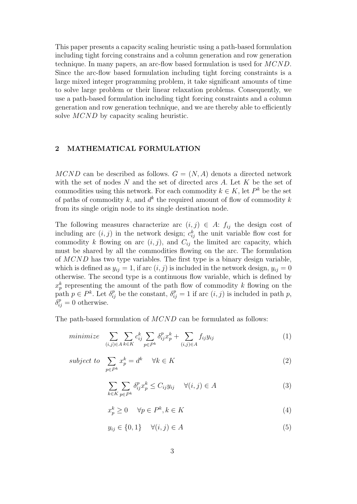This paper presents a capacity scaling heuristic using a path-based formulation including tight forcing constrains and a column generation and row generation technique. In many papers, an arc-flow based formulation is used for MCND. Since the arc-flow based formulation including tight forcing constraints is a large mixed integer programming problem, it take significant amounts of time to solve large problem or their linear relaxation problems. Consequently, we use a path-based formulation including tight forcing constraints and a column generation and row generation technique, and we are thereby able to efficiently solve MCND by capacity scaling heuristic.

# **2 MATHEMATICAL FORMULATION**

MCND can be described as follows.  $G = (N, A)$  denots a directed network with the set of nodes  $N$  and the set of directed arcs  $A$ . Let  $K$  be the set of commodities using this network. For each commodity  $k \in K$ , let  $P^k$  be the set of paths of commodity k, and  $d^k$  the required amount of flow of commodity k from its single origin node to its single destination node.

The following measures characterize arc  $(i, j) \in A$ :  $f_{ij}$  the design cost of including arc  $(i, j)$  in the network design;  $c_{ij}^k$  the unit variable flow cost for commodity k flowing on arc  $(i, j)$ , and  $C_{ij}$  the limited arc capacity, which must be shared by all the commodities flowing on the arc. The formulation of MCND has two type variables. The first type is a binary design variable, which is defined as  $y_{ij} = 1$ , if arc  $(i, j)$  is included in the network design,  $y_{ij} = 0$ otherwise. The second type is a continuous flow variable, which is defined by  $x_p^k$  representing the amount of the path flow of commodity k flowing on the path  $p \in P^k$ . Let  $\delta_{ij}^p$  be the constant,  $\delta_{ij}^p = 1$  if arc  $(i, j)$  is included in path p,  $\delta_{ij}^p = 0$  otherwise.

The path-based formulation of MCND can be formulated as follows:

$$
minimize \sum_{(i,j)\in A} \sum_{k\in K} c_{ij}^k \sum_{p\in P^k} \delta_{ij}^p x_p^k + \sum_{(i,j)\in A} f_{ij} y_{ij}
$$
\n
$$
\tag{1}
$$

 $subice$ 

$$
t \t to \t \sum_{p \in P^k} x_p^k = d^k \quad \forall k \in K \t (2)
$$

$$
\sum_{k \in K} \sum_{p \in P^k} \delta_{ij}^p x_p^k \le C_{ij} y_{ij} \quad \forall (i, j) \in A
$$
\n(3)

$$
x_p^k \ge 0 \quad \forall p \in P^k, k \in K \tag{4}
$$

$$
y_{ij} \in \{0, 1\} \quad \forall (i, j) \in A \tag{5}
$$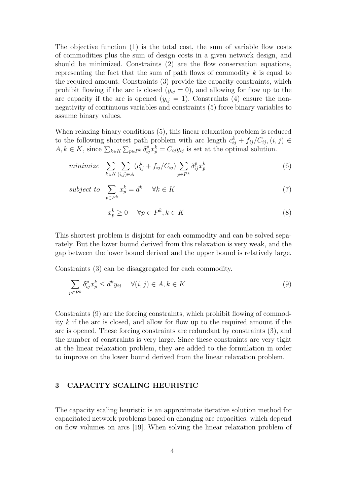The objective function (1) is the total cost, the sum of variable flow costs of commodities plus the sum of design costs in a given network design, and should be minimized. Constraints (2) are the flow conservation equations, representing the fact that the sum of path flows of commodity  $k$  is equal to the required amount. Constraints (3) provide the capacity constraints, which prohibit flowing if the arc is closed  $(y_{ij} = 0)$ , and allowing for flow up to the arc capacity if the arc is opened  $(y_{ij} = 1)$ . Constraints (4) ensure the nonnegativity of continuous variables and constraints (5) force binary variables to assume binary values.

When relaxing binary conditions (5), this linear relaxation problem is reduced to the following shortest path problem with arc length  $c_{ij}^k + f_{ij}/C_{ij}$ ,  $(i, j) \in$  $A, k \in K$ , since  $\sum_{k \in K} \sum_{p \in P^k} \delta_{ij}^p x_p^k = C_{ij} y_{ij}$  is set at the optimal solution.

$$
minimize \sum_{k \in K} \sum_{(i,j) \in A} (c_{ij}^k + f_{ij}/C_{ij}) \sum_{p \in P^k} \delta_{ij}^p x_p^k
$$
\n
$$
(6)
$$

$$
subject\ to\ \sum_{p\in P^k} x_p^k = d^k \quad \forall k \in K \tag{7}
$$

$$
x_p^k \ge 0 \quad \forall p \in P^k, k \in K \tag{8}
$$

This shortest problem is disjoint for each commodity and can be solved separately. But the lower bound derived from this relaxation is very weak, and the gap between the lower bound derived and the upper bound is relatively large.

Constraints (3) can be disaggregated for each commodity.

$$
\sum_{p \in P^k} \delta_{ij}^p x_p^k \le d^k y_{ij} \quad \forall (i, j) \in A, k \in K
$$
\n(9)

Constraints (9) are the forcing constraints, which prohibit flowing of commodity k if the arc is closed, and allow for flow up to the required amount if the arc is opened. These forcing constraints are redundant by constraints (3), and the number of constraints is very large. Since these constraints are very tight at the linear relaxation problem, they are added to the formulation in order to improve on the lower bound derived from the linear relaxation problem.

# **3 CAPACITY SCALING HEURISTIC**

The capacity scaling heuristic is an approximate iterative solution method for capacitated network problems based on changing arc capacities, which depend on flow volumes on arcs [19]. When solving the linear relaxation problem of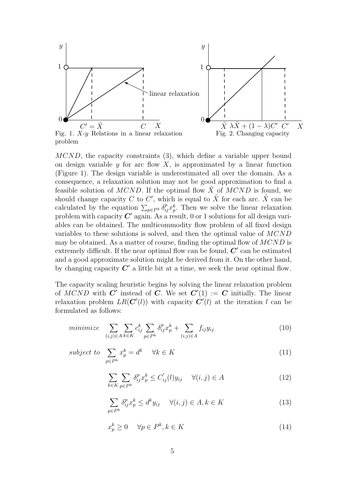

MCND, the capacity constraints (3), which define a variable upper bound on design variable  $y$  for arc flow  $X$ , is approximated by a linear function (Figure 1). The design variable is underestimated all over the domain. As a consequence, a relaxation solution may not be good approximation to find a feasible solution of MCND. If the optimal flow  $\tilde{X}$  of MCND is found, we should change capacity C to C', which is equal to  $\tilde{X}$  for each arc.  $\tilde{X}$  can be calculated by the equation  $\sum_{p\in P^k} \delta_{ij}^p x_p^k$ . Then we solve the linear relaxation problem with capacity  $C'$  again. As a result, 0 or 1 solutions for all design variables can be obtained. The multicommodity flow problem of all fixed design variables to these solutions is solved, and then the optimal value of MCND may be obtained. As a matter of course, finding the optimal flow of  $MCND$  is extremely difficult. If the near optimal flow can be found,  $C'$  can be estimated and a good approximate solution might be derived from it. On the other hand, by changing capacity  $C'$  a little bit at a time, we seek the near optimal flow.

The capacity scaling heuristic begins by solving the linear relaxation problem of  $MCND$  with  $\mathbb{C}'$  instead of  $\mathbb{C}$ . We set  $\mathbb{C}'(1) := \mathbb{C}$  initially. The linear relaxation problem  $LR(C'(l))$  with capacity  $C'(l)$  at the iteration l can be formulated as follows:

$$
minimize \sum_{(i,j)\in A} \sum_{k\in K} c_{ij}^k \sum_{p\in P^k} \delta_{ij}^p x_p^k + \sum_{(i,j)\in A} f_{ij} y_{ij}
$$
(10)

$$
subject to \sum_{p \in P^k} x_p^k = d^k \quad \forall k \in K \tag{11}
$$

$$
\sum_{k \in K} \sum_{p \in P^k} \delta_{ij}^p x_p^k \le C'_{ij}(l) y_{ij} \quad \forall (i, j) \in A
$$
\n(12)

$$
\sum_{p \in P^k} \delta_{ij}^p x_p^k \le d^k y_{ij} \quad \forall (i, j) \in A, k \in K
$$
\n(13)

$$
x_p^k \ge 0 \quad \forall p \in P^k, k \in K \tag{14}
$$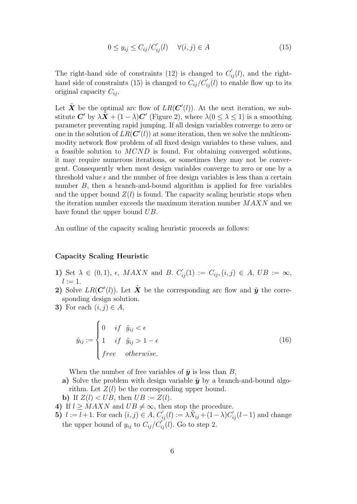$$
0 \le y_{ij} \le C_{ij}/C'_{ij}(l) \quad \forall (i,j) \in A \tag{15}
$$

The right-hand side of constraints (12) is changed to  $C'_{ij}(l)$ , and the righthand side of constraints (15) is changed to  $C_{ij}/C'_{ij}(l)$  to enable flow up to its original capacity  $C_{ii}$ .

Let  $\tilde{\boldsymbol{X}}$  be the optimal arc flow of  $LR(\boldsymbol{C}'(l))$ . At the next iteration, we substitute *C'* by  $\lambda \tilde{X} + (1 - \lambda)C'$  (Figure 2), where  $\lambda(0 \leq \lambda \leq 1)$  is a smoothing parameter preventing rapid jumping. If all design variables converge to zero or one in the solution of  $LR(\mathbf{C}'(l))$  at some iteration, then we solve the multicommodity network flow problem of all fixed design variables to these values, and a feasible solution to MCND is found. For obtaining converged solutions, it may require numerous iterations, or sometimes they may not be convergent. Consequently when most design variables converge to zero or one by a threshold value  $\epsilon$  and the number of free design variables is less than a certain number B, then a branch-and-bound algorithm is applied for free variables and the upper bound  $Z(l)$  is found. The capacity scaling heuristic stops when the iteration number exceeds the maximum iteration number  $MAXN$  and we have found the upper bound UB.

An outline of the capacity scaling heuristic proceeds as follows:

## **Capacity Scaling Heuristic**

- **1)** Set  $\lambda \in (0,1)$ ,  $\epsilon$ , MAXN and B.  $C'_{ij}(1) := C_{ij}$ ,  $(i, j) \in A$ , UB :=  $\infty$ ,  $l := 1$ .
- **2)** Solve  $LR(C'(l))$ . Let  $\tilde{\boldsymbol{X}}$  be the corresponding arc flow and  $\tilde{\boldsymbol{y}}$  the corresponding design solution.
- **3)** For each  $(i, j) \in A$ ,

$$
\bar{y}_{ij} := \begin{cases}\n0 & if \ \tilde{y}_{ij} < \epsilon \\
1 & if \ \tilde{y}_{ij} > 1 - \epsilon \\
free & otherwise.\n\end{cases}
$$
\n(16)

When the number of free variables of  $\bar{y}$  is less than B,

**a)** Solve the problem with design variable  $\bar{y}$  by a branch-and-bound algorithm. Let  $Z(l)$  be the corresponding upper bound.

**b)** If  $Z(l) < UB$ , then  $UB := Z(l)$ .

- **4)** If  $l \geq MAXN$  and  $UB \neq \infty$ , then stop the procedure.
- **5)**  $l := l + 1$ . For each  $(i, j) \in A$ ,  $C'_{ij}(l) := \lambda \tilde{X}_{ij} + (1 \lambda)C'_{ij}(l 1)$  and change the upper bound of  $y_{ij}$  to  $C_{ij}/C_{ij}^{'}(l)$ . Go to step 2.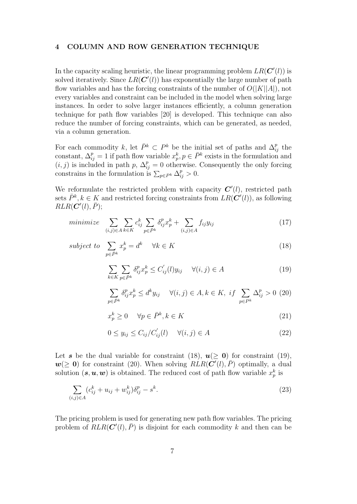## **4 COLUMN AND ROW GENERATION TECHNIQUE**

In the capacity scaling heuristic, the linear programming problem  $LR(\mathbf{C}'(l))$  is solved iteratively. Since  $LR(C'(l))$  has exponentially the large number of path flow variables and has the forcing constraints of the number of  $O(|K||A|)$ , not every variables and constraint can be included in the model when solving large instances. In order to solve larger instances efficiently, a column generation technique for path flow variables [20] is developed. This technique can also reduce the number of forcing constraints, which can be generated, as needed, via a column generation.

For each commodity k, let  $\bar{P}^k \subset P^k$  be the initial set of paths and  $\Delta_{ij}^p$  the constant,  $\Delta_{ij}^p = 1$  if path flow variable  $x_p^k, p \in \bar{P}^k$  exists in the formulation and  $(i, j)$  is included in path p,  $\Delta_{ij}^p = 0$  otherwise. Consequently the only forcing constrains in the formulation is  $\sum_{p \in P^k} \Delta_{ij}^p > 0$ .

We reformulate the restricted problem with capacity  $C'(l)$ , restricted path sets  $\bar{P}^k, k \in K$  and restricted forcing constraints from  $LR(\mathbf{C}'(l))$ , as following  $RLR(\mathbf{C}'(l), \bar{P});$ 

$$
minimize \sum_{(i,j)\in A} \sum_{k\in K} c_{ij}^k \sum_{p\in \bar{P}^k} \delta_{ij}^p x_p^k + \sum_{(i,j)\in A} f_{ij} y_{ij}
$$
\n
$$
(17)
$$

$$
subject to \sum_{p \in \bar{P}^k} x_p^k = d^k \quad \forall k \in K \tag{18}
$$

$$
\sum_{k \in K} \sum_{p \in \bar{P}^k} \delta_{ij}^p x_p^k \le C'_{ij}(l) y_{ij} \quad \forall (i, j) \in A
$$
\n(19)

$$
\sum_{p \in \bar{P}^k} \delta_{ij}^p x_p^k \le d^k y_{ij} \quad \forall (i, j) \in A, k \in K, \; if \; \sum_{p \in P^k} \Delta_{ij}^p > 0 \; (20)
$$

$$
x_p^k \ge 0 \quad \forall p \in \bar{P}^k, k \in K \tag{21}
$$

$$
0 \le y_{ij} \le C_{ij}/C'_{ij}(l) \quad \forall (i,j) \in A \tag{22}
$$

Let *s* be the dual variable for constraint (18),  $u(> 0)$  for constraint (19),  $w(\geq 0)$  for constraint (20). When solving  $RLR(\mathbf{C}'(l), \overline{P})$  optimally, a dual solution  $(s, u, w)$  is obtained. The reduced cost of path flow variable  $x_p^k$  is

$$
\sum_{(i,j)\in A} (c_{ij}^k + u_{ij} + w_{ij}^k) \delta_{ij}^p - s^k.
$$
\n(23)

The pricing problem is used for generating new path flow variables. The pricing problem of  $RLR(C'(l), \bar{P})$  is disjoint for each commodity k and then can be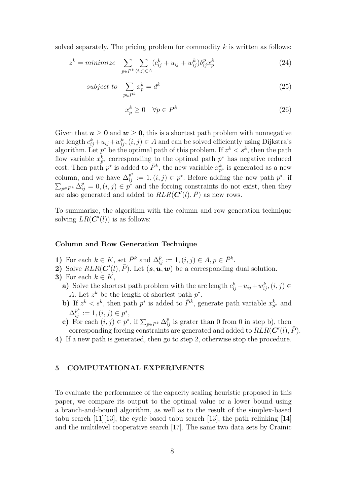solved separately. The pricing problem for commodity  $k$  is written as follows:

$$
z^{k} = minimize \sum_{p \in P^{k}} \sum_{(i,j) \in A} (c_{ij}^{k} + u_{ij} + w_{ij}^{k}) \delta_{ij}^{p} x_{p}^{k}
$$
\n(24)

$$
subject\ to\ \sum_{p \in P^k} x_p^k = d^k \tag{25}
$$

$$
x_p^k \ge 0 \quad \forall p \in P^k \tag{26}
$$

Given that  $u \geq 0$  and  $w \geq 0$ , this is a shortest path problem with nonnegative arc length  $c_{ij}^k + u_{ij} + w_{ij}^k$ ,  $(i, j) \in A$  and can be solved efficiently using Dijkstra's algorithm. Let  $p^*$  be the optimal path of this problem. If  $z^k < s^k$ , then the path flow variable  $x_{p^*}^k$  corresponding to the optimal path  $p^*$  has negative reduced cost. Then path  $p^*$  is added to  $\bar{P}^k$ , the new variable  $x_{p^*}^k$  is generated as a new column, and we have  $\Delta_{ij}^{p^*} := 1$ ,  $(i, j) \in p^*$ . Before adding the new path  $p^*$ , if  $\sum_{p\in P^k} \Delta_{ij}^p = 0$ ,  $(i, j) \in p^*$  and the forcing constraints do not exist, then they are also generated and added to  $RLR(\mathbf{C}'(l), \bar{P})$  as new rows.

To summarize, the algorithm with the column and row generation technique solving  $LR(\mathbf{C}'(l))$  is as follows:

#### **Column and Row Generation Technique**

- **1)** For each  $k \in K$ , set  $\overline{P}^k$  and  $\Delta_{ij}^p := 1$ ,  $(i, j) \in A$ ,  $p \in \overline{P}^k$ .
- 2) Solve  $RLR(C'(l), \bar{P})$ . Let  $(s, u, w)$  be a corresponding dual solution.
- **3)** For each  $k \in K$ ,
	- **a**) Solve the shortest path problem with the arc length  $c_{ij}^k + u_{ij} + w_{ij}^k$ ,  $(i, j) \in$ A. Let  $z^k$  be the length of shortest path  $p^*$ .
	- **b)** If  $z^k < s^k$ , then path  $p^*$  is added to  $\bar{P}^k$ , generate path variable  $x_{p^*}^k$  and  $\Delta_{ij}^{p^*} := 1, (i, j) \in p^*,$
	- **c)** For each  $(i, j) \in p^*$ , if  $\sum_{p \in P^k} \Delta_{ij}^p$  is grater than 0 from 0 in step b), then corresponding forcing constraints are generated and added to  $RLR(\mathbf{C}'(l), \bar{P})$ .
- **4)** If a new path is generated, then go to step 2, otherwise stop the procedure.

#### **5 COMPUTATIONAL EXPERIMENTS**

To evaluate the performance of the capacity scaling heuristic proposed in this paper, we compare its output to the optimal value or a lower bound using a branch-and-bound algorithm, as well as to the result of the simplex-based tabu search [11][13], the cycle-based tabu search [13], the path relinking [14] and the multilevel cooperative search [17]. The same two data sets by Crainic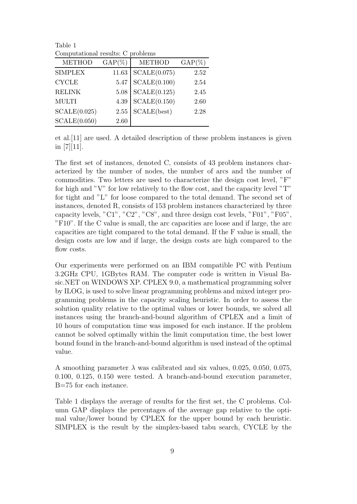Table 1 Computational results: C problems

| <b>METHOD</b>  | $GAP(\%)$ | <b>METHOD</b> | $GAP(\%)$ |
|----------------|-----------|---------------|-----------|
| <b>SIMPLEX</b> | 11.63     | SCALE(0.075)  | 2.52      |
| <b>CYCLE</b>   | 5.47      | SCALE(0.100)  | 2.54      |
| <b>RELINK</b>  | 5.08      | SCALE(0.125)  | 2.45      |
| <b>MULTI</b>   | 4.39      | SCALE(0.150)  | 2.60      |
| SCALE(0.025)   | 2.55      | SCALE(best)   | 2.28      |
| SCALE(0.050)   | 2.60      |               |           |

et al.[11] are used. A detailed description of these problem instances is given in  $[7][11]$ .

The first set of instances, denoted C, consists of 43 problem instances characterized by the number of nodes, the number of arcs and the number of commodities. Two letters are used to characterize the design cost level, "F" for high and "V" for low relatively to the flow cost, and the capacity level "T" for tight and "L" for loose compared to the total demand. The second set of instances, denoted R, consists of 153 problem instances characterized by three capacity levels, "C1", "C2", "C8", and three design cost levels, "F01", "F05", "F10". If the C value is small, the arc capacities are loose and if large, the arc capacities are tight compared to the total demand. If the F value is small, the design costs are low and if large, the design costs are high compared to the flow costs.

Our experiments were performed on an IBM compatible PC with Pentium 3.2GHz CPU, 1GBytes RAM. The computer code is written in Visual Basic.NET on WINDOWS XP. CPLEX 9.0, a mathematical programming solver by ILOG, is used to solve linear programming problems and mixed integer programming problems in the capacity scaling heuristic. In order to assess the solution quality relative to the optimal values or lower bounds, we solved all instances using the branch-and-bound algorithm of CPLEX and a limit of 10 hours of computation time was imposed for each instance. If the problem cannot be solved optimally within the limit computation time, the best lower bound found in the branch-and-bound algorithm is used instead of the optimal value.

A smoothing parameter  $\lambda$  was calibrated and six values, 0.025, 0.050, 0.075, 0.100, 0.125, 0.150 were tested. A branch-and-bound execution parameter, B=75 for each instance.

Table 1 displays the average of results for the first set, the C problems. Column GAP displays the percentages of the average gap relative to the optimal value/lower bound by CPLEX for the upper bound by each heuristic. SIMPLEX is the result by the simplex-based tabu search, CYCLE by the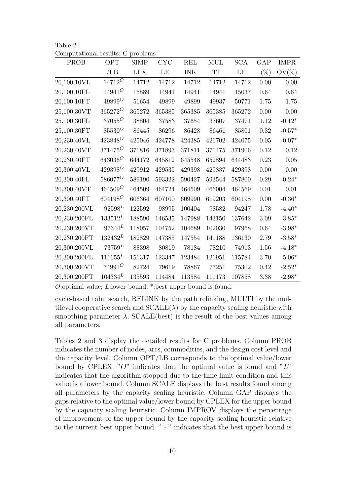| Table 2                           |  |
|-----------------------------------|--|
| Computational results: C problems |  |

| PROB         | <b>OPT</b> | <b>SIMP</b> | <b>CYC</b> | <b>REL</b> | <b>MUL</b> | <b>SCA</b> | GAP      | <b>IMPR</b> |
|--------------|------------|-------------|------------|------------|------------|------------|----------|-------------|
|              | /LB        | <b>LEX</b>  | LE         | <b>INK</b> | TI         | LE         | $(\%)$   | $OV(\%)$    |
| 20,100,10VL  | $14712^O$  | 14712       | 14712      | 14712      | 14712      | 14712      | 0.00     | 0.00        |
| 20,100,10FL  | $14941^O$  | 15889       | 14941      | 14941      | 14941      | 15037      | 0.64     | $0.64\,$    |
| 20,100,10FT  | $49899^O$  | 51654       | 49899      | 49899      | 49937      | 50771      | 1.75     | 1.75        |
| 25,100,30VT  | $365272^O$ | 365272      | 365385     | 365385     | 365385     | 365272     | 0.00     | 0.00        |
| 25,100,30FL  | $37055^O$  | 38804       | 37583      | 37654      | 37607      | 37471      | 1.12     | $-0.12*$    |
| 25,100,30FT  | $85530^O$  | 86445       | 86296      | 86428      | 86461      | 85801      | 0.32     | $-0.57*$    |
| 20,230,40VL  | $423848^O$ | 425046      | 424778     | 424385     | 426702     | 424075     | $0.05\,$ | $-0.07*$    |
| 20,230,40VT  | $371475^O$ | 371816      | 371893     | 371811     | 371475     | 371906     | 0.12     | 0.12        |
| 20,230,40FT  | $643036^O$ | 644172      | 645812     | 645548     | 652894     | 644483     | 0.23     | $0.05\,$    |
| 20,300,40VL  | $429398^O$ | 429912      | 429535     | 429398     | 429837     | 429398     | $0.00\,$ | $0.00\,$    |
| 20,300,40FL  | $586077^O$ | 589190      | 593322     | 590427     | 593544     | 587800     | 0.29     | $-0.24*$    |
| 20,300,40VT  | $464509^O$ | 464509      | 464724     | 464509     | 466004     | 464569     | 0.01     | $0.01\,$    |
| 20,300,40FT  | $604198^O$ | 606364      | 607100     | 609990     | 619203     | 604198     | $0.00\,$ | $-0.36*$    |
| 20,230,200VL | $92598^L$  | 122592      | 98995      | 100404     | 98582      | 94247      | 1.78     | $-4.40*$    |
| 20,230,200FL | $133512^L$ | 188590      | 146535     | 147988     | 143150     | 137642     | 3.09     | $-3.85*$    |
| 20,230,200VT | $97344^L$  | 118057      | 104752     | 104689     | 102030     | 97968      | 0.64     | $-3.98*$    |
| 20,230,200FT | $132432^L$ | 182829      | 147385     | 147554     | 141188     | 136130     | 2.79     | $-3.58*$    |
| 20,300,200VL | $73759^L$  | 88398       | 80819      | 78184      | 78210      | 74913      | 1.56     | $-4.18*$    |
| 20,300,200FL | $111655^L$ | 151317      | 123347     | 123484     | 121951     | 115784     | 3.70     | $-5.06*$    |
| 20,300,200VT | $74991^O$  | 82724       | 79619      | 78867      | 77251      | 75302      | 0.42     | $-2.52*$    |
| 20,300,200FT | $104334^L$ | 135593      | 114484     | 113584     | 111173     | 107858     | 3.38     | $-2.98*$    |

*O*:optimal value; *L*:lower bound; \*:best upper bound is found.

cycle-based tabu search, RELINK by the path relinking, MULTI by the multilevel cooperative search and  $\text{SCALE}(\lambda)$  by the capacity scaling heuristic with smoothing parameter  $\lambda$ . SCALE(best) is the result of the best values among all parameters.

Tables 2 and 3 display the detailed results for C problems. Column PROB indicates the number of nodes, arcs, commodities, and the design cost level and the capacity level. Column OPT/LB corresponds to the optimal value/lower bound by CPLEX. " $O$ " indicates that the optimal value is found and " $L$ " indicates that the algorithm stopped due to the time limit condition and this value is a lower bound. Column SCALE displays the best results found among all parameters by the capacity scaling heuristic. Column GAP displays the gaps relative to the optimal value/lower bound by CPLEX for the upper bound by the capacity scaling heuristic. Column IMPROV displays the percentage of improvement of the upper bound by the capacity scaling heuristic relative to the current best upper bound. " ∗ " indicates that the best upper bound is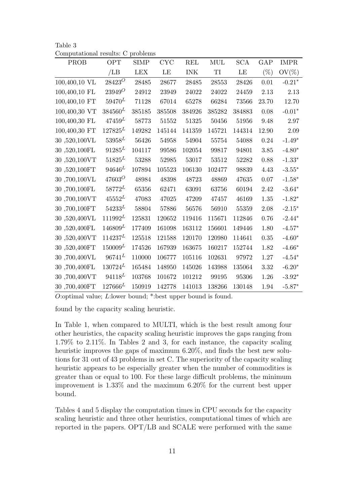| Table 3                           |  |
|-----------------------------------|--|
| Computational results: C problems |  |

| <b>PROB</b>         | <b>OPT</b>  | <b>SIMP</b> | CYC    | <b>REL</b> | MUL    | <b>SCA</b> | GAP    | <b>IMPR</b> |
|---------------------|-------------|-------------|--------|------------|--------|------------|--------|-------------|
|                     |             |             |        |            |        |            |        |             |
|                     | /LB         | <b>LEX</b>  | LE     | <b>INK</b> | TI     | LE         | $(\%)$ | $OV(\%)$    |
| 100,400,10 VL       | $28423^O$   | 28485       | 28677  | 28485      | 28553  | 28426      | 0.01   | $-0.21*$    |
| 100,400,10 FL       | $23949^O$   | 24912       | 23949  | 24022      | 24022  | 24459      | 2.13   | 2.13        |
| 100,400,10 FT       | $59470^L$   | 71128       | 67014  | 65278      | 66284  | 73566      | 23.70  | 12.70       |
| 100,400,30 VT       | $384560^L$  | 385185      | 385508 | 384926     | 385282 | 384883     | 0.08   | $-0.01*$    |
| $100,\!400,\!30$ FL | $47459^L$   | 58773       | 51552  | 51325      | 50456  | 51956      | 9.48   | 2.97        |
| 100,400,30 FT       | $127825^L$  | 149282      | 145144 | 141359     | 145721 | 144314     | 12.90  | $2.09\,$    |
| 30,520,100VL        | $53958^L$   | 56426       | 54958  | 54904      | 55754  | 54088      | 0.24   | $-1.49*$    |
| 30,520,100FL        | $91285^L$   | 104117      | 99586  | 102054     | 99817  | 94801      | 3.85   | $-4.80*$    |
| 30,520,100VT        | $51825^L$   | 53288       | 52985  | 53017      | 53512  | 52282      | 0.88   | $-1.33*$    |
| 30,520,100FT        | $94646^L$   | 107894      | 105523 | 106130     | 102477 | 98839      | 4.43   | $-3.55*$    |
| 30,700,100VL        | $47603^O$   | 48984       | 48398  | 48723      | 48869  | 47635      | 0.07   | $-1.58*$    |
| 30,700,100FL        | $58772^L$   | 65356       | 62471  | 63091      | 63756  | 60194      | 2.42   | $-3.64*$    |
| 30,700,100VT        | $45552^L$   | 47083       | 47025  | 47209      | 47457  | 46169      | 1.35   | $-1.82*$    |
| 30,700,100FT        | $54233^L$   | 58804       | 57886  | 56576      | 56910  | 55359      | 2.08   | $-2.15*$    |
| 30,520,400VL        | $111992^L$  | 125831      | 120652 | 119416     | 115671 | 112846     | 0.76   | $-2.44*$    |
| 30,520,400FL        | $146809^L$  | 177409      | 161098 | 163112     | 156601 | 149446     | 1.80   | $-4.57*$    |
| 30,520,400VT        | $114237^L$  | 125518      | 121588 | 120170     | 120980 | 114641     | 0.35   | $-4.60*$    |
| 30,520,400FT        | $150009^L$  | 174526      | 167939 | 163675     | 160217 | 152744     | 1.82   | $-4.66*$    |
| 30,700,400VL        | $96741^{L}$ | 110000      | 106777 | 105116     | 102631 | 97972      | 1.27   | $-4.54*$    |
| 30,700,400FL        | $130724^L$  | 165484      | 148950 | 145026     | 143988 | 135064     | 3.32   | $-6.20*$    |
| 30,700,400VT        | $94118^L$   | 103768      | 101672 | 101212     | 99195  | 95306      | 1.26   | $-3.92*$    |
| 30,700,400FT        | $127666^L$  | 150919      | 142778 | 141013     | 138266 | 130148     | 1.94   | $-5.87*$    |

*O*:optimal value; *L*:lower bound; \*:best upper bound is found.

found by the capacity scaling heuristic.

In Table 1, when compared to MULTI, which is the best result among four other heuristics, the capacity scaling heuristic improves the gaps ranging from 1.79% to 2.11%. In Tables 2 and 3, for each instance, the capacity scaling heuristic improves the gaps of maximum 6.20%, and finds the best new solutions for 31 out of 43 problems in set C. The superiority of the capacity scaling heuristic appears to be especially greater when the number of commodities is greater than or equal to 100. For these large difficult problems, the minimum improvement is 1.33% and the maximum 6.20% for the current best upper bound.

Tables 4 and 5 display the computation times in CPU seconds for the capacity scaling heuristic and three other heuristics, computational times of which are reported in the papers. OPT/LB and SCALE were performed with the same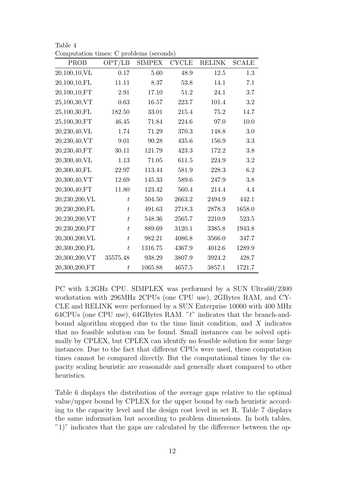| PROB          | OPT/LB           | <b>SIMPEX</b> | $\ensuremath{\mathrm{CYCLE}}$ | <b>RELINK</b> | <b>SCALE</b> |
|---------------|------------------|---------------|-------------------------------|---------------|--------------|
| 20,100,10,VL  | 0.17             | 5.60          | 48.9                          | 12.5          | 1.3          |
| 20,100,10,FL  | 11.11            | 8.37          | 53.8                          | 14.1          | 7.1          |
| 20,100,10,FT  | 2.91             | 17.10         | 51.2                          | 24.1          | 3.7          |
| 25,100,30,VT  | 0.63             | 16.57         | 223.7                         | 101.4         | 3.2          |
| 25,100,30,FL  | 182.50           | 33.01         | 215.4                         | 75.2          | 14.7         |
| 25,100,30,FT  | 46.45            | 71.84         | 224.6                         | 97.0          | 10.0         |
| 20,230,40,VL  | 1.74             | 71.29         | 370.3                         | 148.8         | $3.0\,$      |
| 20,230,40,VT  | 9.01             | 90.28         | 435.6                         | 156.9         | 3.3          |
| 20,230,40,FT  | 30.11            | 121.79        | 423.3                         | 172.2         | 3.8          |
| 20,300,40,VL  | $1.13\,$         | 71.05         | 611.5                         | 224.9         | 3.2          |
| 20,300,40,FL  | 22.97            | 113.44        | 581.9                         | 228.3         | 6.2          |
| 20,300,40,VT  | 12.69            | 145.33        | 589.6                         | 247.9         | 3.8          |
| 20,300,40,FT  | 11.80            | 123.42        | 560.4                         | 214.4         | 4.4          |
| 20,230,200,VL | $\boldsymbol{t}$ | 504.50        | 2663.2                        | 2494.9        | 442.1        |
| 20,230,200,FL | $\boldsymbol{t}$ | 491.63        | 2718.3                        | 2878.3        | 1658.0       |
| 20,230,200,VT | $\boldsymbol{t}$ | 548.36        | 2565.7                        | 2210.9        | 523.5        |
| 20,230,200,FT | $\boldsymbol{t}$ | 889.69        | 3120.1                        | 3385.8        | 1943.8       |
| 20,300,200,VL | $\boldsymbol{t}$ | 982.21        | 4086.8                        | 3566.0        | 347.7        |
| 20,300,200,FL | $\bar{t}$        | 1316.75       | 4367.9                        | 4012.6        | 1289.9       |
| 20,300,200,VT | 35575.48         | 938.29        | 3807.9                        | 3924.2        | 428.7        |
| 20,300,200,FT | $t\,$            | 1065.88       | 4657.5                        | 3857.1        | 1721.7       |

Table 4 Computation times: C problems (seconds)

PC with 3.2GHz CPU. SIMPLEX was performed by a SUN Ultra60/2300 workstation with 296MHz 2CPUs (one CPU use), 2GBytes RAM, and CY-CLE and RELINK were performed by a SUN Enterprise 10000 with 400 MHz 64CPUs (one CPU use), 64GBytes RAM. "t" indicates that the branch-andbound algorithm stopped due to the time limit condition, and  $X$  indicates that no feasible solution can be found. Small instances can be solved optimally by CPLEX, but CPLEX can identify no feasible solution for some large instances. Due to the fact that different CPUs were used, these computation times cannot be compared directly. But the computational times by the capacity scaling heuristic are reasonable and generally short compared to other heuristics.

Table 6 displays the distribution of the average gaps relative to the optimal value/upper bound by CPLEX for the upper bound by each heuristic according to the capacity level and the design cost level in set R. Table 7 displays the same information but according to problem dimensions. In both tables, "1)" indicates that the gaps are calculated by the difference between the op-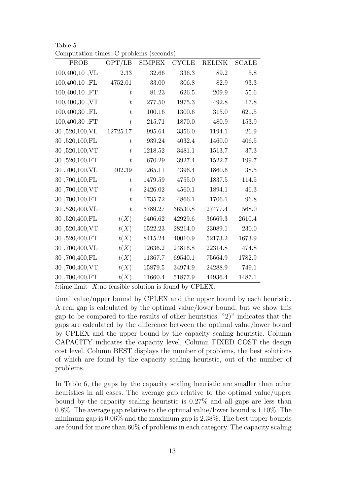| Computation times: C problems (seconds) |                  |               |              |               |              |
|-----------------------------------------|------------------|---------------|--------------|---------------|--------------|
| PROB                                    | OPT/LB           | <b>SIMPEX</b> | <b>CYCLE</b> | <b>RELINK</b> | <b>SCALE</b> |
| $100,400,10$ , VL                       | 2.33             | 32.66         | 336.3        | 89.2          | 5.8          |
| 100,400,10,FL                           | 4752.01          | 33.00         | 306.8        | 82.9          | 93.3         |
| 100,400,10,FT                           | $\boldsymbol{t}$ | 81.23         | 626.5        | 209.9         | 55.6         |
| 100,400,30, VT                          | $\boldsymbol{t}$ | 277.50        | 1975.3       | 492.8         | 17.8         |
| 100,400,30, FL                          | $\boldsymbol{t}$ | 100.16        | 1300.6       | 315.0         | 621.5        |
| 100,400,30,FT                           | $\boldsymbol{t}$ | 215.71        | 1870.0       | 480.9         | 153.9        |
| 30,520,100,VL                           | 12725.17         | 995.64        | 3356.0       | 1194.1        | 26.9         |
| 30,520,100,FL                           | $t\,$            | 939.24        | 4032.4       | 1460.0        | 406.5        |
| 30,520,100,VT                           | $\boldsymbol{t}$ | 1218.52       | 3481.1       | 1513.7        | 37.3         |
| 30,520,100,FT                           | $\bar{t}$        | 670.29        | 3927.4       | 1522.7        | 199.7        |
| 30,700,100,VL                           | 402.39           | 1265.11       | 4396.4       | 1860.6        | 38.5         |
| 30,700,100,FL                           | $\boldsymbol{t}$ | 1479.59       | 4755.0       | 1837.5        | 114.5        |
| 30,700,100,VT                           | $\boldsymbol{t}$ | 2426.02       | 4560.1       | 1894.1        | 46.3         |
| 30,700,100,FT                           | t                | 1735.72       | 4866.1       | 1706.1        | 96.8         |
| 30,520,400,VL                           | $\boldsymbol{t}$ | 5789.27       | 36530.8      | 27477.4       | 568.0        |
| 30,520,400,FL                           | t(X)             | 6406.62       | 42929.6      | 36669.3       | 2610.4       |
| 30,520,400,VT                           | t(X)             | 6522.23       | 28214.0      | 23089.1       | 230.0        |
| 30,520,400,FT                           | t(X)             | 8415.24       | 40010.9      | 52173.2       | 1673.9       |
| 30,700,400,VL                           | t(X)             | 12636.2       | 24816.8      | 22314.8       | 474.8        |
| 30,700,400,FL                           | t(X)             | 11367.7       | 69540.1      | 75664.9       | 1782.9       |

Table 5

*t*:time limit *X*:no feasible solution is found by CPLEX.

30 ,700,400,VT *t*(*X*) 15879.5 34974.9 24288.9 749.1 30 ,700,400,FT *t*(*X*) 11660.4 51877.9 44936.4 1487.1

timal value/upper bound by CPLEX and the upper bound by each heuristic. A real gap is calculated by the optimal value/lower bound, but we show this gap to be compared to the results of other heuristics. "2)" indicates that the gaps are calculated by the difference between the optimal value/lower bound by CPLEX and the upper bound by the capacity scaling heuristic. Column CAPACITY indicates the capacity level, Column FIXED COST the design cost level. Column BEST displays the number of problems, the best solutions of which are found by the capacity scaling heuristic, out of the number of problems.

In Table 6, the gaps by the capacity scaling heuristic are smaller than other heuristics in all cases. The average gap relative to the optimal value/upper bound by the capacity scaling heuristic is 0.27% and all gaps are less than 0.8%. The average gap relative to the optimal value/lower bound is 1.10%. The minimum gap is 0.06% and the maximum gap is 2.38%. The best upper bounds are found for more than 60% of problems in each category. The capacity scaling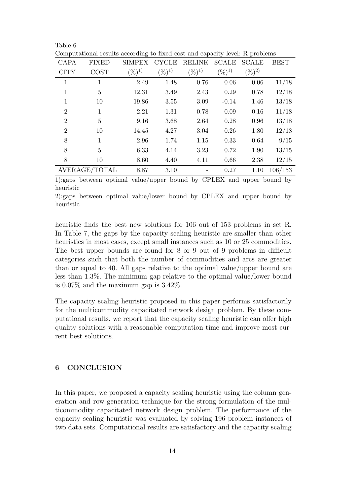| Computational results according to fixed cost and capacity level: R problems |                |               |              |               |              |              |             |  |
|------------------------------------------------------------------------------|----------------|---------------|--------------|---------------|--------------|--------------|-------------|--|
| <b>CAPA</b>                                                                  | <b>FIXED</b>   | <b>SIMPEX</b> | <b>CYCLE</b> | <b>RELINK</b> | <b>SCALE</b> | <b>SCALE</b> | <b>BEST</b> |  |
| <b>CITY</b>                                                                  | <b>COST</b>    | $(\%)^{1)}$   | $(\%)^{1)}$  | $(\%)^{1)}$   | $(\%)^{1)}$  | $(\%)^{2)}$  |             |  |
| 1                                                                            | 1              | 2.49          | 1.48         | 0.76          | 0.06         | 0.06         | 11/18       |  |
| 1                                                                            | $\overline{5}$ | 12.31         | 3.49         | 2.43          | 0.29         | 0.78         | 12/18       |  |
| 1                                                                            | 10             | 19.86         | 3.55         | 3.09          | $-0.14$      | 1.46         | 13/18       |  |
| $\overline{2}$                                                               | $\mathbf{1}$   | 2.21          | 1.31         | 0.78          | 0.09         | 0.16         | 11/18       |  |
| $\overline{2}$                                                               | $\overline{5}$ | 9.16          | 3.68         | 2.64          | 0.28         | 0.96         | 13/18       |  |
| $\overline{2}$                                                               | 10             | 14.45         | 4.27         | 3.04          | 0.26         | 1.80         | 12/18       |  |
| 8                                                                            | $\mathbf{1}$   | 2.96          | 1.74         | 1.15          | 0.33         | 0.64         | 9/15        |  |
| 8                                                                            | 5              | 6.33          | 4.14         | 3.23          | 0.72         | 1.90         | 13/15       |  |
| 8                                                                            | 10             | 8.60          | 4.40         | 4.11          | 0.66         | 2.38         | 12/15       |  |
|                                                                              | AVERAGE/TOTAL  | 8.87          | 3.10         |               | 0.27         | 1.10         | 106/153     |  |

AVERAGE/TOTAL 8.87 3.10 - 0.27 1.10 106/153 1):gaps between optimal value/upper bound by CPLEX and upper bound by

heuristic

2):gaps between optimal value/lower bound by CPLEX and upper bound by heuristic

heuristic finds the best new solutions for 106 out of 153 problems in set R. In Table 7, the gaps by the capacity scaling heuristic are smaller than other heuristics in most cases, except small instances such as 10 or 25 commodities. The best upper bounds are found for 8 or 9 out of 9 problems in difficult categories such that both the number of commodities and arcs are greater than or equal to 40. All gaps relative to the optimal value/upper bound are less than 1.3%. The minimum gap relative to the optimal value/lower bound is 0.07% and the maximum gap is 3.42%.

The capacity scaling heuristic proposed in this paper performs satisfactorily for the multicommodity capacitated network design problem. By these computational results, we report that the capacity scaling heuristic can offer high quality solutions with a reasonable computation time and improve most current best solutions.

## **6 CONCLUSION**

Table 6

In this paper, we proposed a capacity scaling heuristic using the column generation and row generation technique for the strong formulation of the multicommodity capacitated network design problem. The performance of the capacity scaling heuristic was evaluated by solving 196 problem instances of two data sets. Computational results are satisfactory and the capacity scaling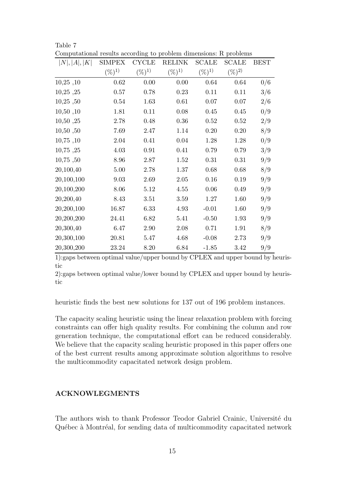| Computational results according to problem uniclisions. It problems |               |              |             |              |              |             |
|---------------------------------------------------------------------|---------------|--------------|-------------|--------------|--------------|-------------|
| N ,  A ,  K                                                         | <b>SIMPEX</b> | <b>CYCLE</b> | RELINK      | <b>SCALE</b> | <b>SCALE</b> | <b>BEST</b> |
|                                                                     | $(\%)^{1}$    | $(\%)^{1)}$  | $(\%)^{1)}$ | $(\%)^{1)}$  | $(\%)^{2}$   |             |
| 10,25,10                                                            | $0.62\,$      | $0.00\,$     | $0.00\,$    | 0.64         | 0.64         | 0/6         |
| 10,25,25                                                            | $0.57\,$      | 0.78         | 0.23        | 0.11         | 0.11         | 3/6         |
| 10,25,50                                                            | 0.54          | 1.63         | 0.61        | 0.07         | 0.07         | 2/6         |
| 10,50,10                                                            | 1.81          | 0.11         | $0.08\,$    | 0.45         | 0.45         | 0/9         |
| 10,50,25                                                            | 2.78          | 0.48         | $0.36\,$    | $0.52\,$     | 0.52         | 2/9         |
| 10,50,50                                                            | 7.69          | 2.47         | 1.14        | 0.20         | 0.20         | 8/9         |
| 10,75,10                                                            | 2.04          | 0.41         | 0.04        | 1.28         | 1.28         | 0/9         |
| 10,75,25                                                            | 4.03          | 0.91         | 0.41        | 0.79         | 0.79         | 3/9         |
| 10,75,50                                                            | 8.96          | 2.87         | 1.52        | 0.31         | $0.31\,$     | 9/9         |
| 20,100,40                                                           | 5.00          | 2.78         | 1.37        | 0.68         | 0.68         | 8/9         |
| 20,100,100                                                          | $\,9.03\,$    | 2.69         | $2.05\,$    | $0.16\,$     | 0.19         | 9/9         |
| 20,100,200                                                          | 8.06          | 5.12         | 4.55        | 0.06         | 0.49         | 9/9         |
| 20,200,40                                                           | 8.43          | 3.51         | 3.59        | 1.27         | 1.60         | 9/9         |
| 20,200,100                                                          | 16.87         | 6.33         | 4.93        | $-0.01$      | 1.60         | 9/9         |
| 20,200,200                                                          | 24.41         | 6.82         | 5.41        | $-0.50$      | 1.93         | 9/9         |
| 20,300,40                                                           | 6.47          | 2.90         | $2.08\,$    | 0.71         | 1.91         | 8/9         |
| 20,300,100                                                          | 20.81         | 5.47         | 4.68        | $-0.08$      | 2.73         | 9/9         |
| 20,300,200                                                          | 23.24         | 8.20         | 6.84        | $-1.85$      | 3.42         | 9/9         |

Table 7 Computational results according to problem dimensions: R problems

1):gaps between optimal value/upper bound by CPLEX and upper bound by heuristic

2):gaps between optimal value/lower bound by CPLEX and upper bound by heuristic

heuristic finds the best new solutions for 137 out of 196 problem instances.

The capacity scaling heuristic using the linear relaxation problem with forcing constraints can offer high quality results. For combining the column and row generation technique, the computational effort can be reduced considerably. We believe that the capacity scaling heuristic proposed in this paper offers one of the best current results among approximate solution algorithms to resolve the multicommodity capacitated network design problem.

## **ACKNOWLEGMENTS**

The authors wish to thank Professor Teodor Gabriel Crainic, Université du Québec à Montréal, for sending data of multicommodity capacitated network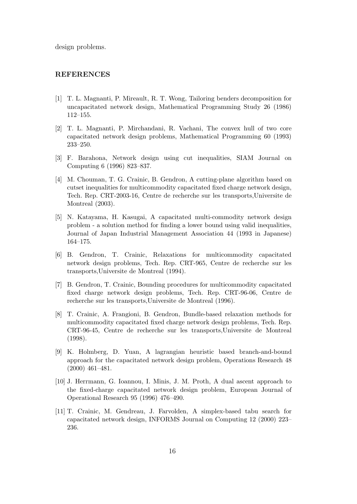design problems.

#### **REFERENCES**

- [1] T. L. Magnanti, P. Mireault, R. T. Wong, Tailoring benders decomposition for uncapacitated network design, Mathematical Programming Study 26 (1986) 112–155.
- [2] T. L. Magnanti, P. Mirchandani, R. Vachani, The convex hull of two core capacitated network design problems, Mathematical Programming 60 (1993) 233–250.
- [3] F. Barahona, Network design using cut inequalities, SIAM Journal on Computing 6 (1996) 823–837.
- [4] M. Chouman, T. G. Crainic, B. Gendron, A cutting-plane algorithm based on cutset inequalities for multicommodity capacitated fixed charge network design, Tech. Rep. CRT-2003-16, Centre de recherche sur les transports,Universite de Montreal (2003).
- [5] N. Katayama, H. Kasugai, A capacitated multi-commodity network design problem - a solution method for finding a lower bound using valid inequalities, Journal of Japan Industrial Management Association 44 (1993 in Japanese) 164–175.
- [6] B. Gendron, T. Crainic, Relaxations for multicommodity capacitated network design problems, Tech. Rep. CRT-965, Centre de recherche sur les transports,Universite de Montreal (1994).
- [7] B. Gendron, T. Crainic, Bounding procedures for multicommodity capacitated fixed charge network design problems, Tech. Rep. CRT-96-06, Centre de recherche sur les transports,Universite de Montreal (1996).
- [8] T. Crainic, A. Frangioni, B. Gendron, Bundle-based relaxation methods for multicommodity capacitated fixed charge network design problems, Tech. Rep. CRT-96-45, Centre de recherche sur les transports,Universite de Montreal (1998).
- [9] K. Holmberg, D. Yuan, A lagrangian heuristic based branch-and-bound approach for the capacitated network design problem, Operations Research 48 (2000) 461–481.
- [10] J. Herrmann, G. Ioannou, I. Minis, J. M. Proth, A dual ascent approach to the fixed-charge capacitated network design problem, European Journal of Operational Research 95 (1996) 476–490.
- [11] T. Crainic, M. Gendreau, J. Farvolden, A simplex-based tabu search for capacitated network design, INFORMS Journal on Computing 12 (2000) 223– 236.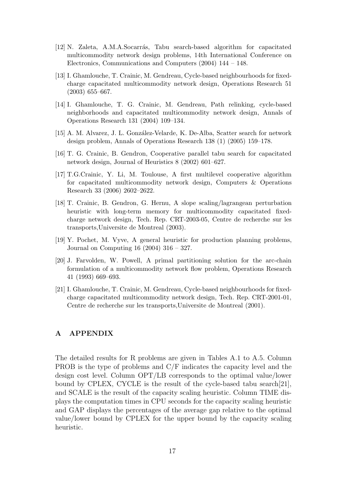- [12] N. Zaleta, A.M.A.Socarrás, Tabu search-based algorithm for capacitated multicommodity network design problems, 14th International Conference on Electronics, Communications and Computers (2004) 144 – 148.
- [13] I. Ghamlouche, T. Crainic, M. Gendreau, Cycle-based neighbourhoods for fixedcharge capacitated multicommodity network design, Operations Research 51 (2003) 655–667.
- [14] I. Ghamlouche, T. G. Crainic, M. Gendreau, Path relinking, cycle-based neighborhoods and capacitated multicommodity network design, Annals of Operations Research 131 (2004) 109–134.
- [15] A. M. Alvarez, J. L. González-Velarde, K. De-Alba, Scatter search for network design problem, Annals of Operations Research 138 (1) (2005) 159–178.
- [16] T. G. Crainic, B. Gendron, Cooperative parallel tabu search for capacitated network design, Journal of Heuristics 8 (2002) 601–627.
- [17] T.G.Crainic, Y. Li, M. Toulouse, A first multilevel cooperative algorithm for capacitated multicommodity network design, Computers & Operations Research 33 (2006) 2602–2622.
- [18] T. Crainic, B. Gendron, G. Hernu, A slope scaling/lagrangean perturbation heuristic with long-term memory for multicommodity capacitated fixedcharge network design, Tech. Rep. CRT-2003-05, Centre de recherche sur les transports,Universite de Montreal (2003).
- [19] Y. Pochet, M. Vyve, A general heuristic for production planning problems, Journal on Computing 16 (2004) 316 – 327.
- [20] J. Farvolden, W. Powell, A primal partitioning solution for the arc-chain formulation of a multicommodity network flow problem, Operations Research 41 (1993) 669–693.
- [21] I. Ghamlouche, T. Crainic, M. Gendreau, Cycle-based neighbourhoods for fixedcharge capacitated multicommodity network design, Tech. Rep. CRT-2001-01, Centre de recherche sur les transports,Universite de Montreal (2001).

# **A APPENDIX**

The detailed results for R problems are given in Tables A.1 to A.5. Column PROB is the type of problems and C/F indicates the capacity level and the design cost level. Column OPT/LB corresponds to the optimal value/lower bound by CPLEX, CYCLE is the result of the cycle-based tabu search[21], and SCALE is the result of the capacity scaling heuristic. Column TIME displays the computation times in CPU seconds for the capacity scaling heuristic and GAP displays the percentages of the average gap relative to the optimal value/lower bound by CPLEX for the upper bound by the capacity scaling heuristic.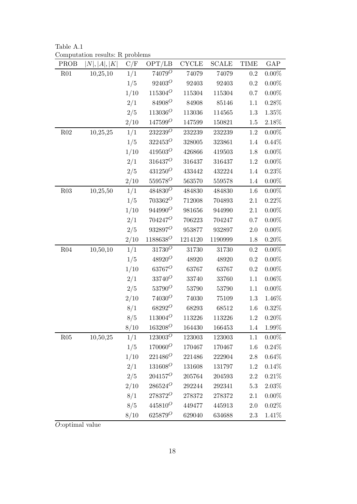Table A.1 Computation results: R problems

| PROB            | N ,  A ,  K | C/F  | OPT/LB           | <b>CYCLE</b> | <b>SCALE</b> | <b>TIME</b> | GAP      |
|-----------------|-------------|------|------------------|--------------|--------------|-------------|----------|
| R <sub>01</sub> | 10,25,10    | 1/1  | $74079^O$        | 74079        | 74079        | 0.2         | $0.00\%$ |
|                 |             | 1/5  | $92403^O$        | 92403        | 92403        | $\rm 0.2$   | $0.00\%$ |
|                 |             | 1/10 | $115304^O$       | 115304       | 115304       | $0.7\,$     | $0.00\%$ |
|                 |             | 2/1  | $84908^O$        | 84908        | 85146        | 1.1         | 0.28%    |
|                 |             | 2/5  | $113036^O$       | 113036       | 114565       | 1.3         | 1.35%    |
|                 |             | 2/10 | $147599^O$       | 147599       | 150821       | $1.5\,$     | 2.18%    |
| R <sub>02</sub> | 10,25,25    | 1/1  | $232239^O$       | 232239       | 232239       | 1.2         | $0.00\%$ |
|                 |             | 1/5  | $322453^O$       | 328005       | 323861       | 1.4         | $0.44\%$ |
|                 |             | 1/10 | $419503^O$       | 426866       | 419503       | 1.8         | $0.00\%$ |
|                 |             | 2/1  | $316437^{\rm O}$ | 316437       | 316437       | $1.2\,$     | $0.00\%$ |
|                 |             | 2/5  | $431250^O$       | 433442       | 432224       | 1.4         | 0.23%    |
|                 |             | 2/10 | $559578^O$       | 563570       | 559578       | 1.4         | $0.00\%$ |
| R03             | 10,25,50    | 1/1  | $484830^O$       | 484830       | 484830       | 1.6         | $0.00\%$ |
|                 |             | 1/5  | $703362^O$       | 712008       | 704893       | $2.1\,$     | 0.22%    |
|                 |             | 1/10 | $944990^O$       | 981656       | 944990       | 2.1         | $0.00\%$ |
|                 |             | 2/1  | $704247^O$       | 706223       | 704247       | 0.7         | $0.00\%$ |
|                 |             | 2/5  | $932897^O$       | 953877       | 932897       | $2.0\,$     | $0.00\%$ |
|                 |             | 2/10 | $1188638^O$      | 1214120      | 1190999      | 1.8         | $0.20\%$ |
| R04             | 10,50,10    | 1/1  | $31730^O$        | 31730        | 31730        | $0.2\,$     | $0.00\%$ |
|                 |             | 1/5  | $48920^O$        | 48920        | 48920        | $\rm 0.2$   | $0.00\%$ |
|                 |             | 1/10 | $63767^O$        | 63767        | 63767        | $\rm 0.2$   | $0.00\%$ |
|                 |             | 2/1  | $33740^O$        | 33740        | 33760        | 1.1         | $0.06\%$ |
|                 |             | 2/5  | $53790^O$        | 53790        | 53790        | 1.1         | $0.00\%$ |
|                 |             | 2/10 | $74030^O$        | 74030        | 75109        | $1.3\,$     | 1.46%    |
|                 |             | 8/1  | $68292^O$        | 68293        | 68512        | 1.6         | 0.32%    |
|                 |             | 8/5  | $113004^O$       | 113226       | 113226       | $1.2\,$     | $0.20\%$ |
|                 |             | 8/10 | $163208^O$       | 164430       | 166453       | 1.4         | 1.99%    |
| R05             | 10,50,25    | 1/1  | $123003^O$       | 123003       | 123003       | 1.1         | $0.00\%$ |
|                 |             | 1/5  | $170060^O$       | 170467       | 170467       | 1.6         | 0.24%    |
|                 |             | 1/10 | $221486^O$       | 221486       | 222904       | 2.8         | $0.64\%$ |
|                 |             | 2/1  | $131608^O$       | 131608       | 131797       | 1.2         | 0.14%    |
|                 |             | 2/5  | $204157^O$       | 205764       | 204593       | 2.2         | 0.21%    |
|                 |             | 2/10 | $286524^O$       | 292244       | 292341       | 5.3         | 2.03%    |
|                 |             | 8/1  | $278372^O$       | 278372       | 278372       | 2.1         | $0.00\%$ |
|                 |             | 8/5  | $445810^O$       | 449477       | 445913       | $2.0\,$     | 0.02%    |
|                 |             | 8/10 | $625879^O$       | 629040       | 634688       | 2.3         | 1.41\%   |

*O*:optimal value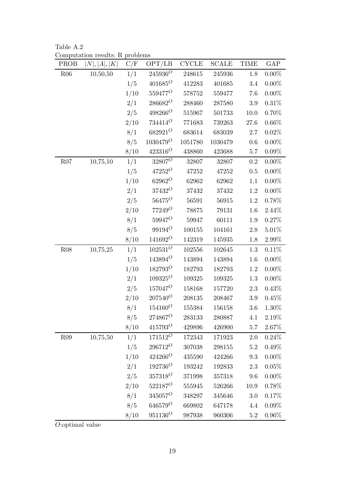Table A.2 Computation results: R problems

| PROB | N ,  A ,  K | C/F  | OPT/LB      | <b>CYCLE</b> | <b>SCALE</b> | <b>TIME</b> | GAP      |
|------|-------------|------|-------------|--------------|--------------|-------------|----------|
| R06  | 10,50,50    | 1/1  | $245936^O$  | 248615       | 245936       | 1.8         | $0.00\%$ |
|      |             | 1/5  | $401685^O$  | 412283       | 401685       | $3.4\,$     | $0.00\%$ |
|      |             | 1/10 | $559477^O$  | 578752       | 559477       | 7.6         | $0.00\%$ |
|      |             | 2/1  | $286682^O$  | 288460       | 287580       | $3.9\,$     | $0.31\%$ |
|      |             | 2/5  | $498266^O$  | 515967       | 501733       | 10.0        | $0.70\%$ |
|      |             | 2/10 | $734414^O$  | 771683       | 739263       | $27.6\,$    | 0.66%    |
|      |             | 8/1  | $682921^O$  | 683614       | 683039       | $2.7\,$     | $0.02\%$ |
|      |             | 8/5  | $1030479^O$ | 1051780      | 1030479      | $0.6\,$     | $0.00\%$ |
|      |             | 8/10 | $423316^O$  | 438860       | 423688       | $5.7\,$     | $0.09\%$ |
| R07  | 10,75,10    | 1/1  | $32807^O$   | 32807        | 32807        | 0.2         | $0.00\%$ |
|      |             | 1/5  | $47252^O$   | 47252        | 47252        | $0.5\,$     | $0.00\%$ |
|      |             | 1/10 | $62962^O$   | 62962        | 62962        | 1.1         | $0.00\%$ |
|      |             | 2/1  | $37432^O$   | 37432        | 37432        | $1.2\,$     | $0.00\%$ |
|      |             | 2/5  | $56475^O$   | 56591        | 56915        | 1.2         | 0.78%    |
|      |             | 2/10 | $77249^O$   | 78875        | 79131        | 1.6         | $2.44\%$ |
|      |             | 8/1  | $59947^O$   | 59947        | 60111        | $1.9\,$     | 0.27%    |
|      |             | 8/5  | $99194^O$   | $100155\,$   | 104161       | $2.8\,$     | $5.01\%$ |
|      |             | 8/10 | $141692^O$  | 142319       | 145935       | 1.8         | $2.99\%$ |
| R08  | 10,75,25    | 1/1  | $102531^O$  | 102556       | 102645       | 1.3         | 0.11%    |
|      |             | 1/5  | $143894^O$  | 143894       | 143894       | $1.6\,$     | $0.00\%$ |
|      |             | 1/10 | $182793^O$  | 182793       | 182793       | 1.2         | $0.00\%$ |
|      |             | 2/1  | $109325^O$  | 109325       | 109325       | 1.3         | $0.00\%$ |
|      |             | 2/5  | $157047^O$  | 158168       | 157720       | $2.3\,$     | 0.43%    |
|      |             | 2/10 | $207540^O$  | 208135       | 208467       | $3.9\,$     | 0.45%    |
|      |             | 8/1  | $154160^O$  | 155384       | 156158       | $3.6\,$     | 1.30%    |
|      |             | 8/5  | $274867^O$  | 283133       | 280887       | 4.1         | $2.19\%$ |
|      |             | 8/10 | $415793^O$  | $429896\,$   | 426900       | 5.7         | 2.67%    |
| R09  | 10,75,50    | 1/1  | $171512^O$  | 172343       | 171923       | 2.0         | 0.24%    |
|      |             | 1/5  | $296712^O$  | 307038       | 298155       | 5.2         | 0.49%    |
|      |             | 1/10 | $424266^O$  | 435590       | 424266       | 9.3         | $0.00\%$ |
|      |             | 2/1  | $192736^O$  | 193242       | 192833       | $2.3\,$     | $0.05\%$ |
|      |             | 2/5  | $357318^O$  | 371998       | 357318       | 9.6         | $0.00\%$ |
|      |             | 2/10 | $522187^O$  | 555945       | 526266       | 10.9        | 0.78%    |
|      |             | 8/1  | $345057^O$  | 348297       | 345646       | 3.0         | 0.17%    |
|      |             | 8/5  | $646579^O$  | 669802       | 647178       | 4.4         | $0.09\%$ |
|      |             | 8/10 | $951136^O$  | 987938       | 960306       | $5.2\,$     | $0.96\%$ |

*O*:optimal value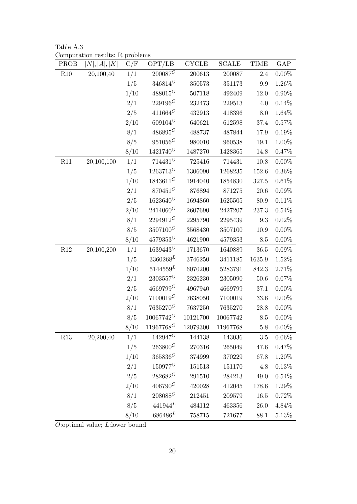Table A.3 Computation results: R problems

| PROB | N ,  A ,  K | C/F  | OPT/LB                | CYCLE    | <b>SCALE</b> | <b>TIME</b> | GAP      |
|------|-------------|------|-----------------------|----------|--------------|-------------|----------|
| R10  | 20,100,40   | 1/1  | $200087^O$            | 200613   | 200087       | 2.4         | $0.00\%$ |
|      |             | 1/5  | $346814^O$            | 350573   | 351173       | 9.9         | 1.26%    |
|      |             | 1/10 | $488015^O$            | 507118   | 492409       | $12.0\,$    | $0.90\%$ |
|      |             | 2/1  | $229196^O$            | 232473   | 229513       | 4.0         | $0.14\%$ |
|      |             | 2/5  | $411664^O$            | 432913   | 418396       | 8.0         | $1.64\%$ |
|      |             | 2/10 | $609104^O$            | 640621   | 612598       | 37.4        | 0.57%    |
|      |             | 8/1  | $486895^O$            | 488737   | 487844       | 17.9        | 0.19%    |
|      |             | 8/5  | $951056^O$            | 980010   | 960538       | 19.1        | 1.00%    |
|      |             | 8/10 | $1421740^O$           | 1487270  | 1428365      | 14.8        | $0.47\%$ |
| R11  | 20,100,100  | 1/1  | $714431^O$            | 725416   | 714431       | $10.8\,$    | $0.00\%$ |
|      |             | 1/5  | $1263713^O$           | 1306090  | 1268235      | 152.6       | $0.36\%$ |
|      |             | 1/10 | $1843611^O$           | 1914040  | 1854830      | 327.5       | $0.61\%$ |
|      |             | 2/1  | $870451^O$            | 876894   | 871275       | $20.6\,$    | $0.09\%$ |
|      |             | 2/5  | $1623640^O$           | 1694860  | 1625505      | $80.9\,$    | $0.11\%$ |
|      |             | 2/10 | $2414060^O$           | 2607690  | 2427207      | 237.3       | 0.54%    |
|      |             | 8/1  | $2294912^O$           | 2295790  | 2295439      | 9.3         | $0.02\%$ |
|      |             | 8/5  | $3507100^O$           | 3568430  | 3507100      | $10.9\,$    | $0.00\%$ |
|      |             | 8/10 | $4579353^O$           | 4621900  | 4579353      | 8.5         | $0.00\%$ |
| R12  | 20,100,200  | 1/1  | $1639443^O$           | 1713670  | 1640889      | $36.5\,$    | $0.09\%$ |
|      |             | 1/5  | $3360268^{L}$         | 3746250  | 3411185      | 1635.9      | 1.52%    |
|      |             | 1/10 | $5144559^L$           | 6070200  | 5283791      | 842.3       | 2.71%    |
|      |             | 2/1  | $2303557^O$           | 2326230  | 2305090      | $50.6\,$    | $0.07\%$ |
|      |             | 2/5  | $4669799^O$           | 4967940  | 4669799      | 37.1        | $0.00\%$ |
|      |             | 2/10 | $7100019^O$           | 7638050  | 7100019      | 33.6        | $0.00\%$ |
|      |             | 8/1  | $7635270^O$           | 7637250  | 7635270      | $28.8\,$    | $0.00\%$ |
|      |             | 8/5  | $10067742^O$          | 10121700 | 10067742     | $8.5\,$     | $0.00\%$ |
|      |             | 8/10 | 11967768 <sup>O</sup> | 12079300 | 11967768     | 5.8         | $0.00\%$ |
| R13  | 20,200,40   | 1/1  | $142947^O$            | 144138   | 143036       | $3.5\,$     | $0.06\%$ |
|      |             | 1/5  | $263800^O$            | 270316   | 265049       | 47.6        | 0.47%    |
|      |             | 1/10 | $365836^O$            | 374999   | 370229       | 67.8        | 1.20%    |
|      |             | 2/1  | $150977^O$            | 151513   | 151170       | 4.8         | 0.13%    |
|      |             | 2/5  | $282682^O$            | 291510   | 284213       | $49.0\,$    | 0.54%    |
|      |             | 2/10 | $406790^O$            | 420028   | 412045       | 178.6       | 1.29%    |
|      |             | 8/1  | $208088^O$            | 212451   | 209579       | $16.5\,$    | 0.72%    |
|      |             | 8/5  | $441944^L$            | 484112   | 463356       | $26.0\,$    | 4.84%    |
|      |             | 8/10 | $686486^L$            | 758715   | 721677       | 88.1        | 5.13%    |

*O*:optimal value; *L*:lower bound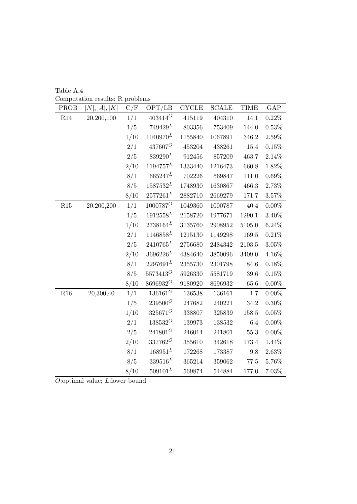| Table A.4                       |  |  |
|---------------------------------|--|--|
| Computation results: R problems |  |  |

| PROB | N ,  A ,  K | C/F  | OPT/LB        | <b>CYCLE</b> | <b>SCALE</b> | <b>TIME</b> | GAP      |
|------|-------------|------|---------------|--------------|--------------|-------------|----------|
| R14  | 20,200,100  | 1/1  | $403414^O$    | 415119       | 404310       | 14.1        | $0.22\%$ |
|      |             | 1/5  | $749429^L$    | $803356\,$   | 753409       | 144.0       | $0.53\%$ |
|      |             | 1/10 | $1040970^{L}$ | 1155840      | 1067891      | 346.2       | $2.59\%$ |
|      |             | 2/1  | $437607^O$    | 453204       | 438261       | 15.4        | 0.15%    |
|      |             | 2/5  | $839290^L$    | 912456       | 857209       | 463.7       | 2.14%    |
|      |             | 2/10 | $1194757^L$   | 1333440      | 1216473      | 660.8       | 1.82%    |
|      |             | 8/1  | $665247^L$    | 702226       | 669847       | 111.0       | 0.69%    |
|      |             | 8/5  | $1587532^L$   | 1748930      | 1630867      | 466.3       | 2.73%    |
|      |             | 8/10 | $2577261^L$   | 2882710      | 2669279      | 171.7       | $3.57\%$ |
| R15  | 20,200,200  | 1/1  | $1000787^O$   | 1049360      | 1000787      | 40.4        | $0.00\%$ |
|      |             | 1/5  | $1912558^L$   | 2158720      | 1977671      | 1290.1      | 3.40%    |
|      |             | 1/10 | $2738164^L$   | 3135760      | 2908952      | 5105.0      | $6.24\%$ |
|      |             | 2/1  | $1146858^{L}$ | 1215130      | 1149298      | 169.5       | 0.21%    |
|      |             | 2/5  | $2410765^L$   | 2756680      | 2484342      | 2103.5      | $3.05\%$ |
|      |             | 2/10 | $3696226^L$   | 4384640      | 3850096      | 3409.0      | $4.16\%$ |
|      |             | 8/1  | $2297691^L$   | 2355730      | 2301798      | 84.6        | $0.18\%$ |
|      |             | 8/5  | $5573413^O$   | 5926330      | 5581719      | 39.6        | 0.15%    |
|      |             | 8/10 | 86969320      | 9180920      | 8696932      | $65.6\,$    | $0.00\%$ |
| R16  | 20,300,40   | 1/1  | $136161^O$    | 136538       | 136161       | $1.7\,$     | $0.00\%$ |
|      |             | 1/5  | $239500^O$    | 247682       | 240221       | $34.2\,$    | $0.30\%$ |
|      |             | 1/10 | $325671^O$    | 338807       | 325839       | 158.5       | 0.05%    |
|      |             | 2/1  | $138532^O$    | 139973       | 138532       | 6.4         | $0.00\%$ |
|      |             | 2/5  | $241801^O$    | 246014       | 241801       | $55.3\,$    | $0.00\%$ |
|      |             | 2/10 | $337762^O$    | 355610       | 342618       | 173.4       | 1.44%    |
|      |             | 8/1  | $168951^L$    | 172268       | 173387       | 9.8         | 2.63%    |
|      |             | 8/5  | $339516^L$    | 365214       | 359062       | $77.5\,$    | 5.76%    |
|      |             | 8/10 | $509101^{L}$  | 569874       | 544884       | 177.0       | 7.03%    |

*O*:optimal value; *L*:lower bound